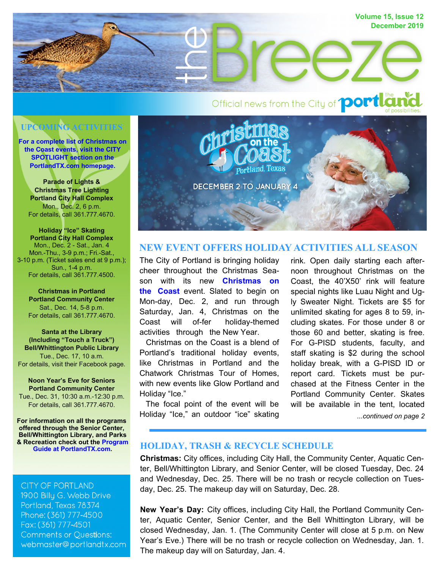

# **UPCOMING ACTIVITIES**

**For a complete list of Christmas on [the Coast events, visit the CITY](http://www.portlandtx.com/CivicAlerts.aspx?AID=317)  SPOTLIGHT section on the PortlandTX.com homepage.**

**Parade of Lights & Christmas Tree Lighting Portland City Hall Complex**  Mon., Dec. 2, 6 p.m. For details, call 361.777.4670.

**Holiday "Ice" Skating Portland City Hall Complex**  Mon., Dec. 2 - Sat., Jan. 4 Mon.-Thu., 3-9 p.m.; Fri.-Sat., 3-10 p.m. (Ticket sales end at 9 p.m.); Sun., 1-4 p.m. For details, call 361.777.4500.

**Christmas in Portland Portland Community Center** Sat., Dec. 14, 5-8 p.m. For details, call 361.777.4670.

**Santa at the Library (Including "Touch a Truck") Bell/Whittington Public Library**  Tue., Dec. 17, 10 a.m. For details, visit their Facebook page.

**Noon Year's Eve for Seniors Portland Community Center** Tue., Dec. 31, 10:30 a.m.-12:30 p.m.

For details, call 361.777.4670.

**For information on all the programs offered through the Senior Center, Bell/Whittington Library, and Parks & Re[creation check out the Program](http://www.portlandtx.com/DocumentCenter/View/2569/Final-Corrected-2019-Program-Guide-PDF)  Guide at PortlandTX.com.** 

**CITY OF PORTLAND** 1900 Billy G. Webb Drive Portland, Texas 78374 Phone: (361) 777-4500 Fax: (361) 777-4501 **Comments or Questions:** webmaster@portlandtx.com



## **NEW EVENT OFFERS HOLIDAY ACTIVITIES ALL SEASON**

The City of Portland is bringing holiday cheer throughout the Christmas Season with its new **Christmas on the Coast** [event. Slated to begin on](http://www.portlandtx.com/CivicAlerts.aspx?AID=317)  Mon-day, Dec. 2, and run through Saturday, Jan. 4, Christmas on the Coast will of-fer holiday-themed activities through the New Year.

 Christmas on the Coast is a blend of Portland's traditional holiday events, like Christmas in Portland and the Chatwork Christmas Tour of Homes, with new events like Glow Portland and Holiday "Ice."

 The focal point of the event will be Holiday "Ice," an outdoor "ice" skating

*...continued on page 2* rink. Open daily starting each afternoon throughout Christmas on the Coast, the 40'X50' rink will feature special nights like Luau Night and Ugly Sweater Night. Tickets are \$5 for unlimited skating for ages 8 to 59, including skates. For those under 8 or those 60 and better, skating is free. For G-PISD students, faculty, and staff skating is \$2 during the school holiday break, with a G-PISD ID or report card. Tickets must be purchased at the Fitness Center in the Portland Community Center. Skates will be available in the tent, located

#### **HOLIDAY, TRASH & RECYCLE SCHEDULE**

**Christmas:** City offices, including City Hall, the Community Center, Aquatic Center, Bell/Whittington Library, and Senior Center, will be closed Tuesday, Dec. 24 and Wednesday, Dec. 25. There will be no trash or recycle collection on Tuesday, Dec. 25. The makeup day will on Saturday, Dec. 28.

**New Year's Day:** City offices, including City Hall, the Portland Community Center, Aquatic Center, Senior Center, and the Bell Whittington Library, will be closed Wednesday, Jan. 1. (The Community Center will close at 5 p.m. on New Year's Eve.) There will be no trash or recycle collection on Wednesday, Jan. 1. The makeup day will on Saturday, Jan. 4.